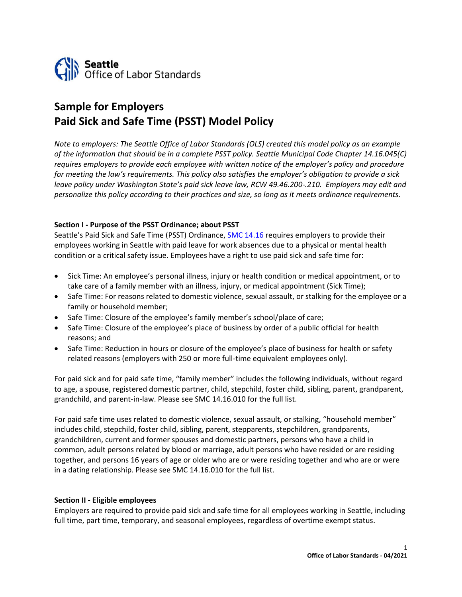

# **Sample for Employers Paid Sick and Safe Time (PSST) Model Policy**

*Note to employers: The Seattle Office of Labor Standards (OLS) created this model policy as an example of the information that should be in a complete PSST policy. Seattle Municipal Code Chapter 14.16.045(C) requires employers to provide each employee with written notice of the employer's policy and procedure*  for meeting the law's requirements. This policy also satisfies the employer's obligation to provide a sick *leave policy under Washington State's paid sick leave law, RCW 49.46.200-.210. Employers may edit and personalize this policy according to their practices and size, so long as it meets ordinance requirements.*

#### **Section I - Purpose of the PSST Ordinance; about PSST**

Seattle's Paid Sick and Safe Time (PSST) Ordinance, **SMC 14.16** requires employers to provide their employees working in Seattle with paid leave for work absences due to a physical or mental health condition or a critical safety issue. Employees have a right to use paid sick and safe time for:

- Sick Time: An employee's personal illness, injury or health condition or medical appointment, or to take care of a family member with an illness, injury, or medical appointment (Sick Time);
- Safe Time: For reasons related to domestic violence, sexual assault, or stalking for the employee or a family or household member;
- Safe Time: Closure of the employee's family member's school/place of care;
- Safe Time: Closure of the employee's place of business by order of a public official for health reasons; and
- Safe Time: Reduction in hours or closure of the employee's place of business for health or safety related reasons (employers with 250 or more full-time equivalent employees only).

For paid sick and for paid safe time, "family member" includes the following individuals, without regard to age, a spouse, registered domestic partner, child, stepchild, foster child, sibling, parent, grandparent, grandchild, and parent-in-law. Please see SMC 14.16.010 for the full list.

For paid safe time uses related to domestic violence, sexual assault, or stalking, "household member" includes child, stepchild, foster child, sibling, parent, stepparents, stepchildren, grandparents, grandchildren, current and former spouses and domestic partners, persons who have a child in common, adult persons related by blood or marriage, adult persons who have resided or are residing together, and persons 16 years of age or older who are or were residing together and who are or were in a dating relationship. Please see SMC 14.16.010 for the full list.

#### **Section II - Eligible employees**

Employers are required to provide paid sick and safe time for all employees working in Seattle, including full time, part time, temporary, and seasonal employees, regardless of overtime exempt status.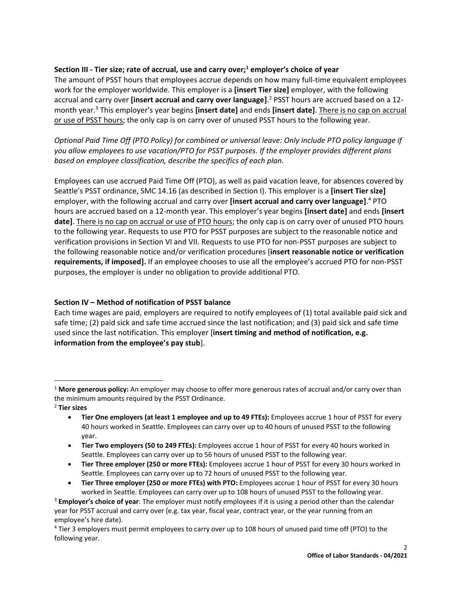## **Section III - Tier size; rate of accrual, use and carry over;<sup>1</sup> employer's choice of year**

The amount of PSST hours that employees accrue depends on how many full-time equivalent employees work for the employer worldwide. This employer is a **[insert Tier size]** employer, with the following accrual and carry over **[insert accrual and carry over language]**. <sup>2</sup> PSST hours are accrued based on a 12 month year. 3 This employer's year begins **[insert date]** and ends **[insert date]**. There is no cap on accrual or use of PSST hours; the only cap is on carry over of unused PSST hours to the following year.

*Optional Paid Time Off (PTO Policy) for combined or universal leave: Only include PTO policy language if you allow employees to use vacation/PTO for PSST purposes. If the employer provides different plans based on employee classification, describe the specifics of each plan.*

Employees can use accrued Paid Time Off (PTO), as well as paid vacation leave, for absences covered by Seattle's PSST ordinance, SMC 14.16 (as described in Section I). This employer is a **[insert Tier size]**  employer, with the following accrual and carry over **[insert accrual and carry over language]**. <sup>4</sup> PTO hours are accrued based on a 12-month year. This employer's year begins **[insert date]** and ends **[insert date]**. There is no cap on accrual or use of PTO hours; the only cap is on carry over of unused PTO hours to the following year. Requests to use PTO for PSST purposes are subject to the reasonable notice and verification provisions in Section VI and VII. Requests to use PTO for non-PSST purposes are subject to the following reasonable notice and/or verification procedures [**insert reasonable notice or verification requirements, if imposed].** If an employee chooses to use all the employee's accrued PTO for non-PSST purposes, the employer is under no obligation to provide additional PTO.

## **Section IV – Method of notification of PSST balance**

Each time wages are paid, employers are required to notify employees of (1) total available paid sick and safe time; (2) paid sick and safe time accrued since the last notification; and (3) paid sick and safe time used since the last notification. This employer [**insert timing and method of notification, e.g. information from the employee's pay stub**].

<sup>2</sup> **Tier sizes**

- **Tier One employers (at least 1 employee and up to 49 FTEs):** Employees accrue 1 hour of PSST for every 40 hours worked in Seattle. Employees can carry over up to 40 hours of unused PSST to the following year.
- **Tier Two employers (50 to 249 FTEs):** Employees accrue 1 hour of PSST for every 40 hours worked in Seattle. Employees can carry over up to 56 hours of unused PSST to the following year.
- **Tier Three employer (250 or more FTEs):** Employees accrue 1 hour of PSST for every 30 hours worked in Seattle. Employees can carry over up to 72 hours of unused PSST to the following year.
- **Tier Three employer (250 or more FTEs) with PTO:** Employees accrue 1 hour of PSST for every 30 hours worked in Seattle. Employees can carry over up to 108 hours of unused PSST to the following year.

<sup>1</sup> **More generous policy:** An employer may choose to offer more generous rates of accrual and/or carry over than the minimum amounts required by the PSST Ordinance.

<sup>3</sup> **Employer's choice of year**: The employer must notify employees if it is using a period other than the calendar year for PSST accrual and carry over (e.g. tax year, fiscal year, contract year, or the year running from an employee's hire date).

<sup>4</sup> Tier 3 employers must permit employees to carry over up to 108 hours of unused paid time off (PTO) to the following year.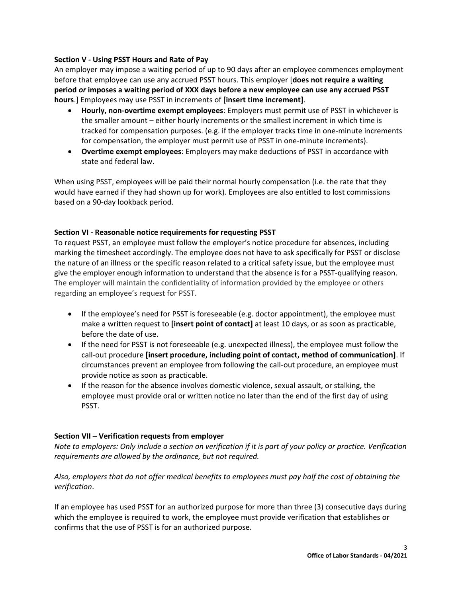## **Section V - Using PSST Hours and Rate of Pay**

An employer may impose a waiting period of up to 90 days after an employee commences employment before that employee can use any accrued PSST hours. This employer [**does not require a waiting period** *or* **imposes a waiting period of XXX days before a new employee can use any accrued PSST hours**.] Employees may use PSST in increments of **[insert time increment]**.

- **Hourly, non-overtime exempt employees**: Employers must permit use of PSST in whichever is the smaller amount – either hourly increments or the smallest increment in which time is tracked for compensation purposes. (e.g. if the employer tracks time in one-minute increments for compensation, the employer must permit use of PSST in one-minute increments).
- **Overtime exempt employees**: Employers may make deductions of PSST in accordance with state and federal law.

When using PSST, employees will be paid their normal hourly compensation (i.e. the rate that they would have earned if they had shown up for work). Employees are also entitled to lost commissions based on a 90-day lookback period.

## **Section VI - Reasonable notice requirements for requesting PSST**

To request PSST, an employee must follow the employer's notice procedure for absences, including marking the timesheet accordingly. The employee does not have to ask specifically for PSST or disclose the nature of an illness or the specific reason related to a critical safety issue, but the employee must give the employer enough information to understand that the absence is for a PSST-qualifying reason. The employer will maintain the confidentiality of information provided by the employee or others regarding an employee's request for PSST.

- If the employee's need for PSST is foreseeable (e.g. doctor appointment), the employee must make a written request to **[insert point of contact]** at least 10 days, or as soon as practicable, before the date of use.
- If the need for PSST is not foreseeable (e.g. unexpected illness), the employee must follow the call-out procedure **[insert procedure, including point of contact, method of communication]**. If circumstances prevent an employee from following the call-out procedure, an employee must provide notice as soon as practicable.
- If the reason for the absence involves domestic violence, sexual assault, or stalking, the employee must provide oral or written notice no later than the end of the first day of using PSST.

#### **Section VII – Verification requests from employer**

*Note to employers: Only include a section on verification if it is part of your policy or practice. Verification requirements are allowed by the ordinance, but not required.* 

*Also, employers that do not offer medical benefits to employees must pay half the cost of obtaining the verification*.

If an employee has used PSST for an authorized purpose for more than three (3) consecutive days during which the employee is required to work, the employee must provide verification that establishes or confirms that the use of PSST is for an authorized purpose.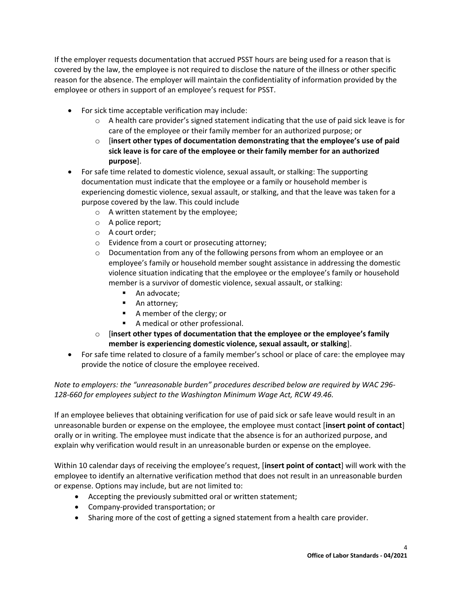If the employer requests documentation that accrued PSST hours are being used for a reason that is covered by the law, the employee is not required to disclose the nature of the illness or other specific reason for the absence. The employer will maintain the confidentiality of information provided by the employee or others in support of an employee's request for PSST.

- For sick time acceptable verification may include:
	- $\circ$  A health care provider's signed statement indicating that the use of paid sick leave is for care of the employee or their family member for an authorized purpose; or
	- o [**insert other types of documentation demonstrating that the employee's use of paid sick leave is for care of the employee or their family member for an authorized purpose**].
- For safe time related to domestic violence, sexual assault, or stalking: The supporting documentation must indicate that the employee or a family or household member is experiencing domestic violence, sexual assault, or stalking, and that the leave was taken for a purpose covered by the law. This could include
	- o A written statement by the employee;
	- o A police report;
	- o A court order;
	- o Evidence from a court or prosecuting attorney;
	- o Documentation from any of the following persons from whom an employee or an employee's family or household member sought assistance in addressing the domestic violence situation indicating that the employee or the employee's family or household member is a survivor of domestic violence, sexual assault, or stalking:
		- An advocate;
		- An attorney;
		- A member of the clergy; or
		- A medical or other professional.
	- o [**insert other types of documentation that the employee or the employee's family member is experiencing domestic violence, sexual assault, or stalking**].
- For safe time related to closure of a family member's school or place of care: the employee may provide the notice of closure the employee received.

*Note to employers: the "unreasonable burden" procedures described below are required by WAC 296- 128-660 for employees subject to the Washington Minimum Wage Act, RCW 49.46.* 

If an employee believes that obtaining verification for use of paid sick or safe leave would result in an unreasonable burden or expense on the employee, the employee must contact [**insert point of contact**] orally or in writing. The employee must indicate that the absence is for an authorized purpose, and explain why verification would result in an unreasonable burden or expense on the employee.

Within 10 calendar days of receiving the employee's request, [**insert point of contact**] will work with the employee to identify an alternative verification method that does not result in an unreasonable burden or expense. Options may include, but are not limited to:

- Accepting the previously submitted oral or written statement;
- Company-provided transportation; or
- Sharing more of the cost of getting a signed statement from a health care provider.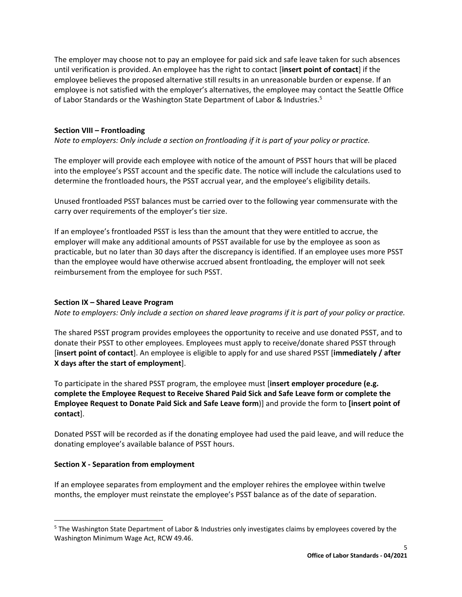The employer may choose not to pay an employee for paid sick and safe leave taken for such absences until verification is provided. An employee has the right to contact [**insert point of contact**] if the employee believes the proposed alternative still results in an unreasonable burden or expense. If an employee is not satisfied with the employer's alternatives, the employee may contact the Seattle Office of Labor Standards or the Washington State Department of Labor & Industries.<sup>5</sup>

## **Section VIII – Frontloading**

*Note to employers: Only include a section on frontloading if it is part of your policy or practice.*

The employer will provide each employee with notice of the amount of PSST hours that will be placed into the employee's PSST account and the specific date. The notice will include the calculations used to determine the frontloaded hours, the PSST accrual year, and the employee's eligibility details.

Unused frontloaded PSST balances must be carried over to the following year commensurate with the carry over requirements of the employer's tier size.

If an employee's frontloaded PSST is less than the amount that they were entitled to accrue, the employer will make any additional amounts of PSST available for use by the employee as soon as practicable, but no later than 30 days after the discrepancy is identified. If an employee uses more PSST than the employee would have otherwise accrued absent frontloading, the employer will not seek reimbursement from the employee for such PSST.

### **Section IX – Shared Leave Program**

*Note to employers: Only include a section on shared leave programs if it is part of your policy or practice.*

The shared PSST program provides employees the opportunity to receive and use donated PSST, and to donate their PSST to other employees. Employees must apply to receive/donate shared PSST through [**insert point of contact**]. An employee is eligible to apply for and use shared PSST [**immediately / after X days after the start of employment**].

To participate in the shared PSST program, the employee must [**insert employer procedure (e.g. complete the Employee Request to Receive Shared Paid Sick and Safe Leave form or complete the Employee Request to Donate Paid Sick and Safe Leave form**)] and provide the form to **[insert point of contact**].

Donated PSST will be recorded as if the donating employee had used the paid leave, and will reduce the donating employee's available balance of PSST hours.

#### **Section X - Separation from employment**

If an employee separates from employment and the employer rehires the employee within twelve months, the employer must reinstate the employee's PSST balance as of the date of separation.

<sup>5</sup> The Washington State Department of Labor & Industries only investigates claims by employees covered by the Washington Minimum Wage Act, RCW 49.46.